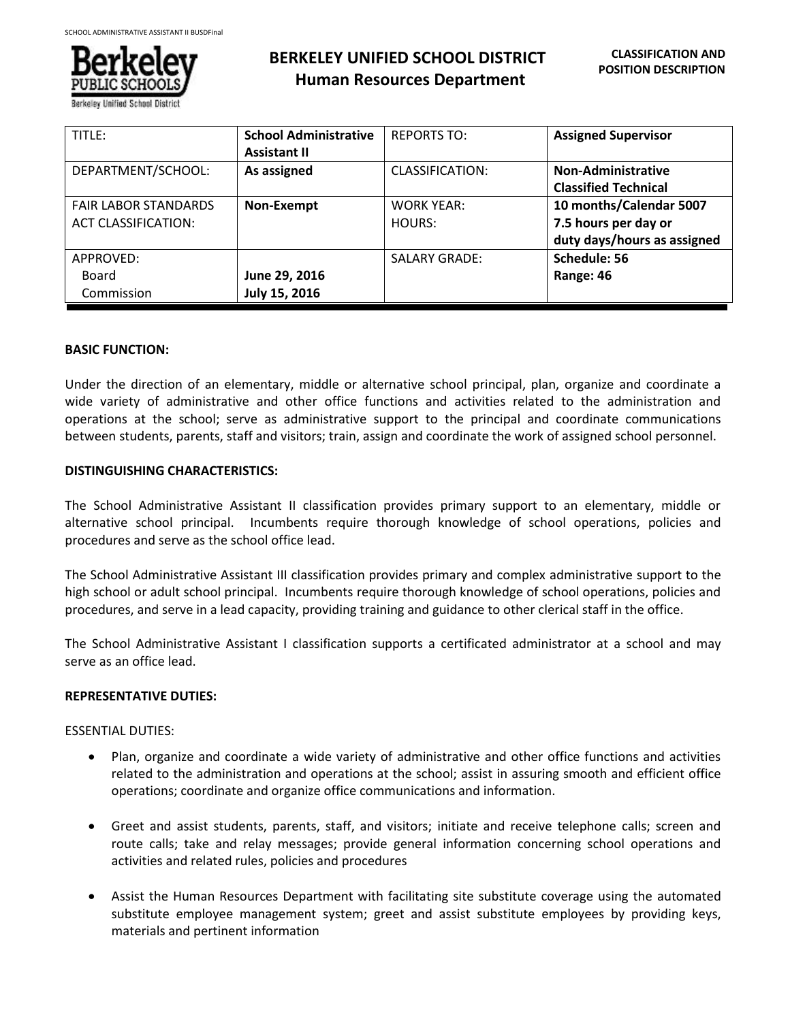

# **BERKELEY UNIFIED SCHOOL DISTRICT Human Resources Department**

| TITLE:                      | <b>School Administrative</b> | <b>REPORTS TO:</b>   | <b>Assigned Supervisor</b>  |
|-----------------------------|------------------------------|----------------------|-----------------------------|
|                             | <b>Assistant II</b>          |                      |                             |
| DEPARTMENT/SCHOOL:          | As assigned                  | CLASSIFICATION:      | <b>Non-Administrative</b>   |
|                             |                              |                      | <b>Classified Technical</b> |
| <b>FAIR LABOR STANDARDS</b> | Non-Exempt                   | <b>WORK YEAR:</b>    | 10 months/Calendar 5007     |
| <b>ACT CLASSIFICATION:</b>  |                              | HOURS:               | 7.5 hours per day or        |
|                             |                              |                      | duty days/hours as assigned |
| APPROVED:                   |                              | <b>SALARY GRADE:</b> | Schedule: 56                |
| Board                       | June 29, 2016                |                      | Range: 46                   |
| Commission                  | July 15, 2016                |                      |                             |

## **BASIC FUNCTION:**

Under the direction of an elementary, middle or alternative school principal, plan, organize and coordinate a wide variety of administrative and other office functions and activities related to the administration and operations at the school; serve as administrative support to the principal and coordinate communications between students, parents, staff and visitors; train, assign and coordinate the work of assigned school personnel.

## **DISTINGUISHING CHARACTERISTICS:**

The School Administrative Assistant II classification provides primary support to an elementary, middle or alternative school principal. Incumbents require thorough knowledge of school operations, policies and procedures and serve as the school office lead.

The School Administrative Assistant III classification provides primary and complex administrative support to the high school or adult school principal. Incumbents require thorough knowledge of school operations, policies and procedures, and serve in a lead capacity, providing training and guidance to other clerical staff in the office.

The School Administrative Assistant I classification supports a certificated administrator at a school and may serve as an office lead.

#### **REPRESENTATIVE DUTIES:**

## ESSENTIAL DUTIES:

- Plan, organize and coordinate a wide variety of administrative and other office functions and activities related to the administration and operations at the school; assist in assuring smooth and efficient office operations; coordinate and organize office communications and information.
- Greet and assist students, parents, staff, and visitors; initiate and receive telephone calls; screen and route calls; take and relay messages; provide general information concerning school operations and activities and related rules, policies and procedures
- Assist the Human Resources Department with facilitating site substitute coverage using the automated substitute employee management system; greet and assist substitute employees by providing keys, materials and pertinent information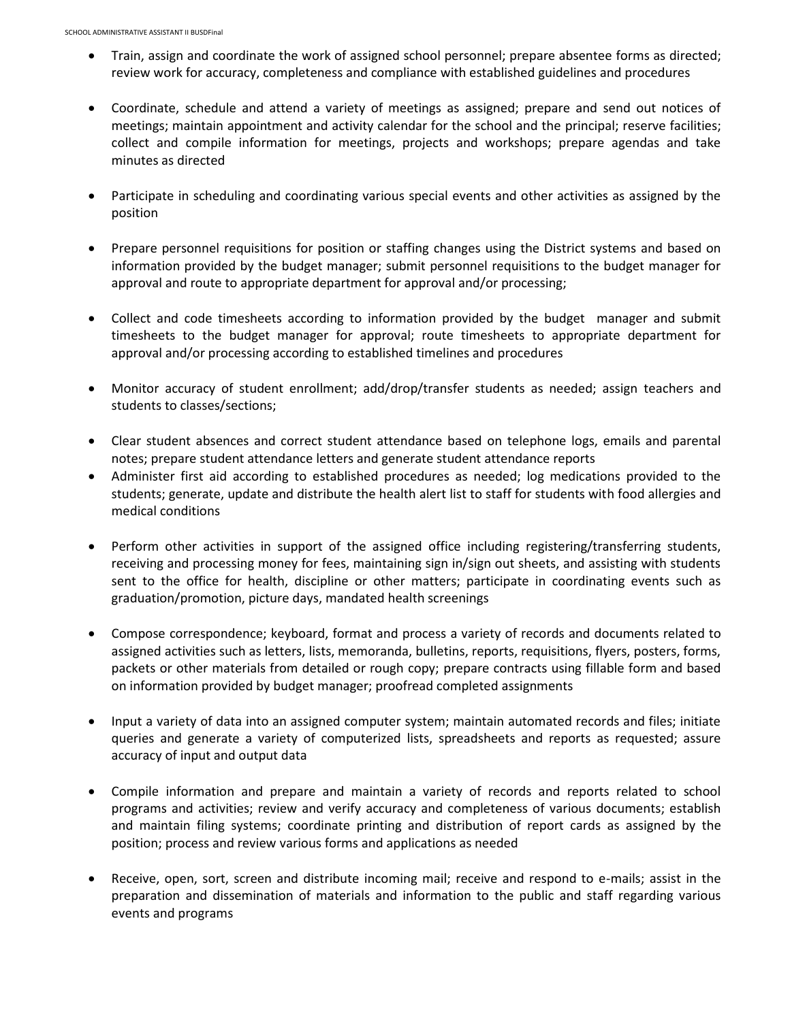- Train, assign and coordinate the work of assigned school personnel; prepare absentee forms as directed; review work for accuracy, completeness and compliance with established guidelines and procedures
- Coordinate, schedule and attend a variety of meetings as assigned; prepare and send out notices of meetings; maintain appointment and activity calendar for the school and the principal; reserve facilities; collect and compile information for meetings, projects and workshops; prepare agendas and take minutes as directed
- Participate in scheduling and coordinating various special events and other activities as assigned by the position
- Prepare personnel requisitions for position or staffing changes using the District systems and based on information provided by the budget manager; submit personnel requisitions to the budget manager for approval and route to appropriate department for approval and/or processing;
- Collect and code timesheets according to information provided by the budget manager and submit timesheets to the budget manager for approval; route timesheets to appropriate department for approval and/or processing according to established timelines and procedures
- Monitor accuracy of student enrollment; add/drop/transfer students as needed; assign teachers and students to classes/sections;
- Clear student absences and correct student attendance based on telephone logs, emails and parental notes; prepare student attendance letters and generate student attendance reports
- Administer first aid according to established procedures as needed; log medications provided to the students; generate, update and distribute the health alert list to staff for students with food allergies and medical conditions
- Perform other activities in support of the assigned office including registering/transferring students, receiving and processing money for fees, maintaining sign in/sign out sheets, and assisting with students sent to the office for health, discipline or other matters; participate in coordinating events such as graduation/promotion, picture days, mandated health screenings
- Compose correspondence; keyboard, format and process a variety of records and documents related to assigned activities such as letters, lists, memoranda, bulletins, reports, requisitions, flyers, posters, forms, packets or other materials from detailed or rough copy; prepare contracts using fillable form and based on information provided by budget manager; proofread completed assignments
- Input a variety of data into an assigned computer system; maintain automated records and files; initiate queries and generate a variety of computerized lists, spreadsheets and reports as requested; assure accuracy of input and output data
- Compile information and prepare and maintain a variety of records and reports related to school programs and activities; review and verify accuracy and completeness of various documents; establish and maintain filing systems; coordinate printing and distribution of report cards as assigned by the position; process and review various forms and applications as needed
- Receive, open, sort, screen and distribute incoming mail; receive and respond to e-mails; assist in the preparation and dissemination of materials and information to the public and staff regarding various events and programs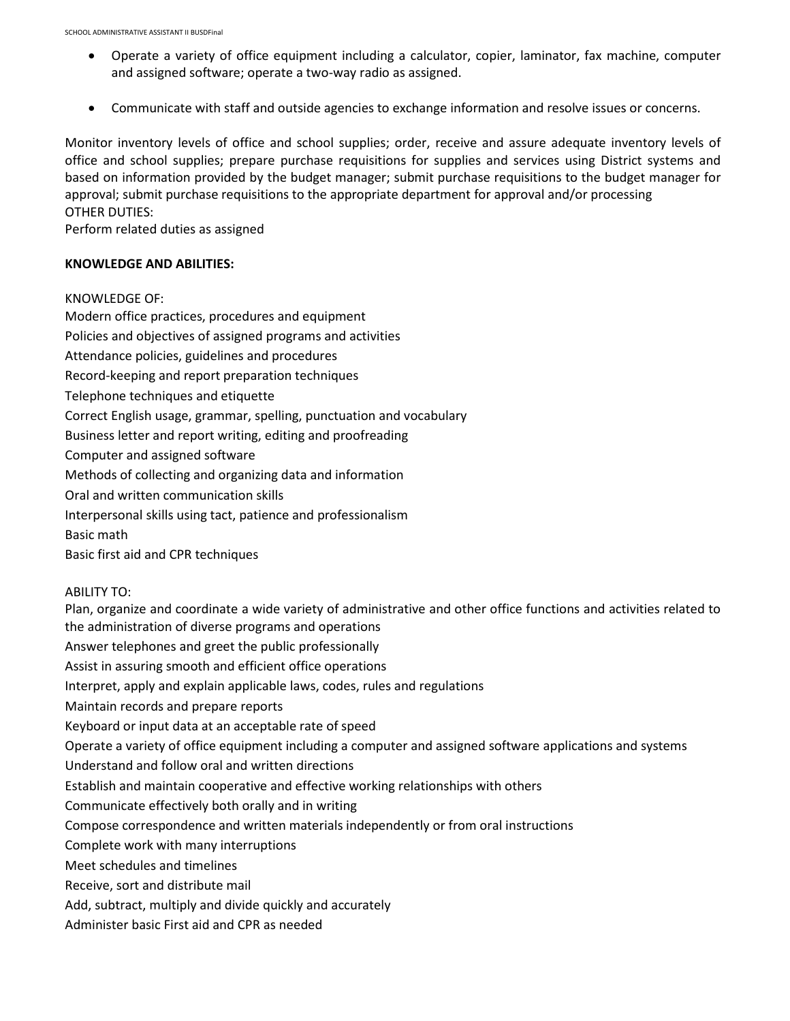- Operate a variety of office equipment including a calculator, copier, laminator, fax machine, computer and assigned software; operate a two-way radio as assigned.
- Communicate with staff and outside agencies to exchange information and resolve issues or concerns.

Monitor inventory levels of office and school supplies; order, receive and assure adequate inventory levels of office and school supplies; prepare purchase requisitions for supplies and services using District systems and based on information provided by the budget manager; submit purchase requisitions to the budget manager for approval; submit purchase requisitions to the appropriate department for approval and/or processing OTHER DUTIES:

Perform related duties as assigned

## **KNOWLEDGE AND ABILITIES:**

## KNOWLEDGE OF:

Modern office practices, procedures and equipment Policies and objectives of assigned programs and activities Attendance policies, guidelines and procedures Record-keeping and report preparation techniques Telephone techniques and etiquette Correct English usage, grammar, spelling, punctuation and vocabulary Business letter and report writing, editing and proofreading Computer and assigned software Methods of collecting and organizing data and information Oral and written communication skills Interpersonal skills using tact, patience and professionalism Basic math Basic first aid and CPR techniques ABILITY TO: Plan, organize and coordinate a wide variety of administrative and other office functions and activities related to

the administration of diverse programs and operations

Answer telephones and greet the public professionally

Assist in assuring smooth and efficient office operations

Interpret, apply and explain applicable laws, codes, rules and regulations

Maintain records and prepare reports

Keyboard or input data at an acceptable rate of speed

Operate a variety of office equipment including a computer and assigned software applications and systems

Understand and follow oral and written directions

Establish and maintain cooperative and effective working relationships with others

Communicate effectively both orally and in writing

Compose correspondence and written materials independently or from oral instructions

Complete work with many interruptions

Meet schedules and timelines

Receive, sort and distribute mail

Add, subtract, multiply and divide quickly and accurately

Administer basic First aid and CPR as needed